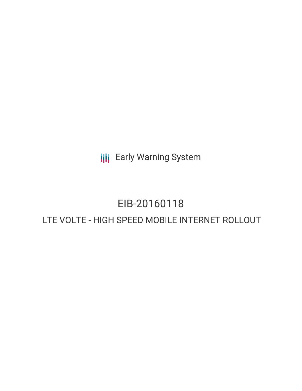**III** Early Warning System

# EIB-20160118

# LTE VOLTE - HIGH SPEED MOBILE INTERNET ROLLOUT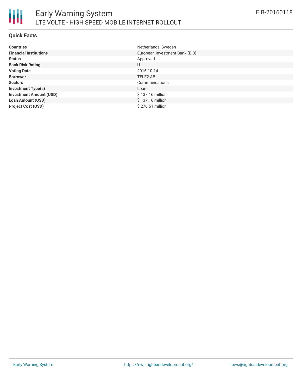### **Quick Facts**

| <b>Countries</b>               | Netherlands, Sweden            |
|--------------------------------|--------------------------------|
| <b>Financial Institutions</b>  | European Investment Bank (EIB) |
| <b>Status</b>                  | Approved                       |
| <b>Bank Risk Rating</b>        | U                              |
| <b>Voting Date</b>             | 2016-10-14                     |
| <b>Borrower</b>                | TELE2 AB                       |
| <b>Sectors</b>                 | Communications                 |
| <b>Investment Type(s)</b>      | Loan                           |
| <b>Investment Amount (USD)</b> | \$137.16 million               |
| <b>Loan Amount (USD)</b>       | \$137.16 million               |
| <b>Project Cost (USD)</b>      | \$276.51 million               |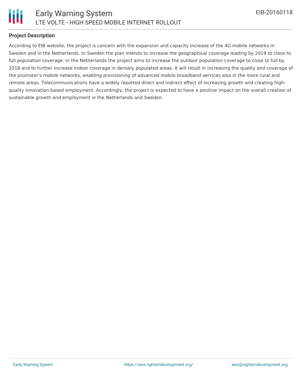

### **Project Description**

According to EIB website, the project is concern with the expansion and capacity increase of the 4G mobile networks in Sweden and in the Netherlands. In Sweden the plan intends to increase the geographical coverage leading by 2019 to close to full population coverage. In the Netherlands the project aims to increase the outdoor population coverage to close to full by 2018 and to further increase indoor coverage in densely populated areas. It will result in increasing the quality and coverage of the promoter's mobile networks, enabling provisioning of advanced mobile broadband services also in the more rural and remote areas. Telecommunications have a widely reported direct and indirect effect of increasing growth and creating highquality innovation-based employment. Accordingly, the project is expected to have a positive impact on the overall creation of sustainable growth and employment in the Netherlands and Sweden.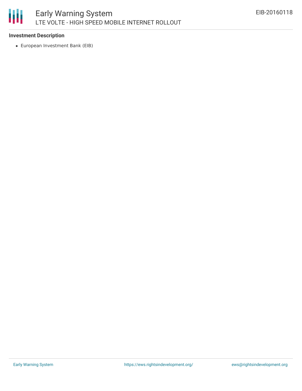

#### **Investment Description**

European Investment Bank (EIB)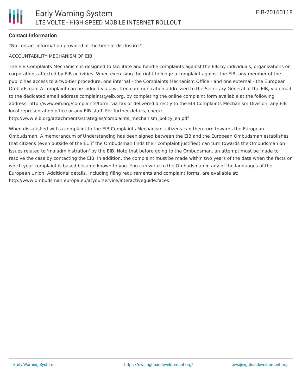## **Contact Information**

\*No contact information provided at the time of disclosure.\*

#### ACCOUNTABILITY MECHANISM OF EIB

The EIB Complaints Mechanism is designed to facilitate and handle complaints against the EIB by individuals, organizations or corporations affected by EIB activities. When exercising the right to lodge a complaint against the EIB, any member of the public has access to a two-tier procedure, one internal - the Complaints Mechanism Office - and one external - the European Ombudsman. A complaint can be lodged via a written communication addressed to the Secretary General of the EIB, via email to the dedicated email address complaints@eib.org, by completing the online complaint form available at the following address: http://www.eib.org/complaints/form, via fax or delivered directly to the EIB Complaints Mechanism Division, any EIB local representation office or any EIB staff. For further details, check:

http://www.eib.org/attachments/strategies/complaints\_mechanism\_policy\_en.pdf

When dissatisfied with a complaint to the EIB Complaints Mechanism, citizens can then turn towards the European Ombudsman. A memorandum of Understanding has been signed between the EIB and the European Ombudsman establishes that citizens (even outside of the EU if the Ombudsman finds their complaint justified) can turn towards the Ombudsman on issues related to 'maladministration' by the EIB. Note that before going to the Ombudsman, an attempt must be made to resolve the case by contacting the EIB. In addition, the complaint must be made within two years of the date when the facts on which your complaint is based became known to you. You can write to the Ombudsman in any of the languages of the European Union. Additional details, including filing requirements and complaint forms, are available at: http://www.ombudsman.europa.eu/atyourservice/interactiveguide.faces